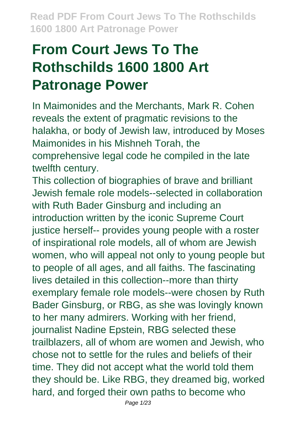# **From Court Jews To The Rothschilds 1600 1800 Art Patronage Power**

In Maimonides and the Merchants, Mark R. Cohen reveals the extent of pragmatic revisions to the halakha, or body of Jewish law, introduced by Moses Maimonides in his Mishneh Torah, the comprehensive legal code he compiled in the late twelfth century.

This collection of biographies of brave and brilliant Jewish female role models--selected in collaboration with Ruth Bader Ginsburg and including an introduction written by the iconic Supreme Court justice herself-- provides young people with a roster of inspirational role models, all of whom are Jewish women, who will appeal not only to young people but to people of all ages, and all faiths. The fascinating lives detailed in this collection--more than thirty exemplary female role models--were chosen by Ruth Bader Ginsburg, or RBG, as she was lovingly known to her many admirers. Working with her friend, journalist Nadine Epstein, RBG selected these trailblazers, all of whom are women and Jewish, who chose not to settle for the rules and beliefs of their time. They did not accept what the world told them they should be. Like RBG, they dreamed big, worked hard, and forged their own paths to become who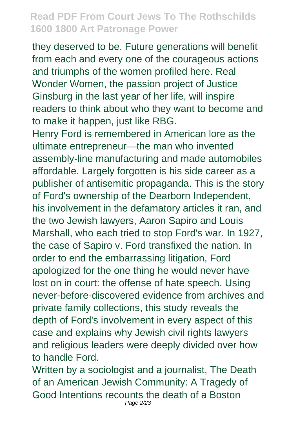they deserved to be. Future generations will benefit from each and every one of the courageous actions and triumphs of the women profiled here. Real Wonder Women, the passion project of Justice Ginsburg in the last year of her life, will inspire readers to think about who they want to become and to make it happen, just like RBG.

Henry Ford is remembered in American lore as the ultimate entrepreneur—the man who invented assembly-line manufacturing and made automobiles affordable. Largely forgotten is his side career as a publisher of antisemitic propaganda. This is the story of Ford's ownership of the Dearborn Independent, his involvement in the defamatory articles it ran, and the two Jewish lawyers, Aaron Sapiro and Louis Marshall, who each tried to stop Ford's war. In 1927, the case of Sapiro v. Ford transfixed the nation. In order to end the embarrassing litigation, Ford apologized for the one thing he would never have lost on in court: the offense of hate speech. Using never-before-discovered evidence from archives and private family collections, this study reveals the depth of Ford's involvement in every aspect of this case and explains why Jewish civil rights lawyers and religious leaders were deeply divided over how to handle Ford.

Written by a sociologist and a journalist, The Death of an American Jewish Community: A Tragedy of Good Intentions recounts the death of a Boston Page 2/23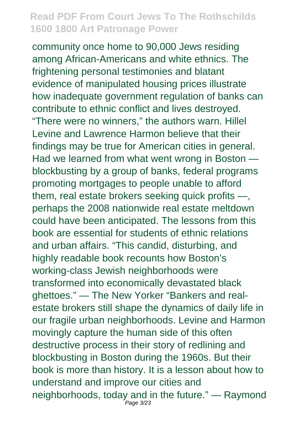community once home to 90,000 Jews residing among African-Americans and white ethnics. The frightening personal testimonies and blatant evidence of manipulated housing prices illustrate how inadequate government regulation of banks can contribute to ethnic conflict and lives destroyed. "There were no winners," the authors warn. Hillel Levine and Lawrence Harmon believe that their findings may be true for American cities in general. Had we learned from what went wrong in Boston blockbusting by a group of banks, federal programs promoting mortgages to people unable to afford them, real estate brokers seeking quick profits —, perhaps the 2008 nationwide real estate meltdown could have been anticipated. The lessons from this book are essential for students of ethnic relations and urban affairs. "This candid, disturbing, and highly readable book recounts how Boston's working-class Jewish neighborhoods were transformed into economically devastated black ghettoes." — The New Yorker "Bankers and realestate brokers still shape the dynamics of daily life in our fragile urban neighborhoods. Levine and Harmon movingly capture the human side of this often destructive process in their story of redlining and blockbusting in Boston during the 1960s. But their book is more than history. It is a lesson about how to understand and improve our cities and neighborhoods, today and in the future." — Raymond Page 3/23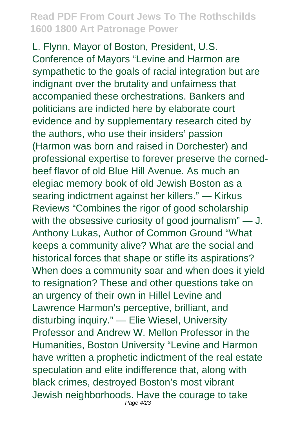L. Flynn, Mayor of Boston, President, U.S. Conference of Mayors "Levine and Harmon are sympathetic to the goals of racial integration but are indignant over the brutality and unfairness that accompanied these orchestrations. Bankers and politicians are indicted here by elaborate court evidence and by supplementary research cited by the authors, who use their insiders' passion (Harmon was born and raised in Dorchester) and professional expertise to forever preserve the cornedbeef flavor of old Blue Hill Avenue. As much an elegiac memory book of old Jewish Boston as a searing indictment against her killers." — Kirkus Reviews "Combines the rigor of good scholarship with the obsessive curiosity of good journalism" — J. Anthony Lukas, Author of Common Ground "What keeps a community alive? What are the social and historical forces that shape or stifle its aspirations? When does a community soar and when does it yield to resignation? These and other questions take on an urgency of their own in Hillel Levine and Lawrence Harmon's perceptive, brilliant, and disturbing inquiry." — Elie Wiesel, University Professor and Andrew W. Mellon Professor in the Humanities, Boston University "Levine and Harmon have written a prophetic indictment of the real estate speculation and elite indifference that, along with black crimes, destroyed Boston's most vibrant Jewish neighborhoods. Have the courage to take Page 4/23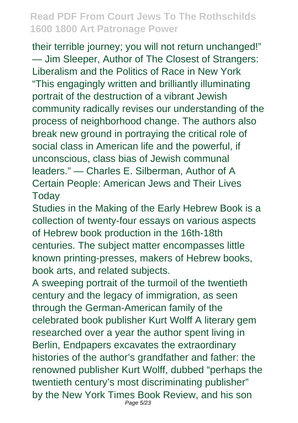their terrible journey; you will not return unchanged!" — Jim Sleeper, Author of The Closest of Strangers: Liberalism and the Politics of Race in New York "This engagingly written and brilliantly illuminating portrait of the destruction of a vibrant Jewish community radically revises our understanding of the process of neighborhood change. The authors also break new ground in portraying the critical role of social class in American life and the powerful, if unconscious, class bias of Jewish communal leaders." — Charles E. Silberman, Author of A Certain People: American Jews and Their Lives **Today** 

Studies in the Making of the Early Hebrew Book is a collection of twenty-four essays on various aspects of Hebrew book production in the 16th-18th centuries. The subject matter encompasses little known printing-presses, makers of Hebrew books, book arts, and related subjects.

A sweeping portrait of the turmoil of the twentieth century and the legacy of immigration, as seen through the German-American family of the celebrated book publisher Kurt Wolff A literary gem researched over a year the author spent living in Berlin, Endpapers excavates the extraordinary histories of the author's grandfather and father: the renowned publisher Kurt Wolff, dubbed "perhaps the twentieth century's most discriminating publisher" by the New York Times Book Review, and his son Page 5/23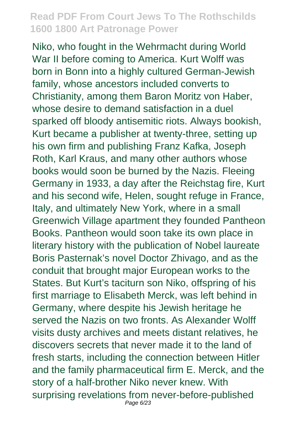Niko, who fought in the Wehrmacht during World War II before coming to America. Kurt Wolff was born in Bonn into a highly cultured German-Jewish family, whose ancestors included converts to Christianity, among them Baron Moritz von Haber, whose desire to demand satisfaction in a duel sparked off bloody antisemitic riots. Always bookish, Kurt became a publisher at twenty-three, setting up his own firm and publishing Franz Kafka, Joseph Roth, Karl Kraus, and many other authors whose books would soon be burned by the Nazis. Fleeing Germany in 1933, a day after the Reichstag fire, Kurt and his second wife, Helen, sought refuge in France, Italy, and ultimately New York, where in a small Greenwich Village apartment they founded Pantheon Books. Pantheon would soon take its own place in literary history with the publication of Nobel laureate Boris Pasternak's novel Doctor Zhivago, and as the conduit that brought major European works to the States. But Kurt's taciturn son Niko, offspring of his first marriage to Elisabeth Merck, was left behind in Germany, where despite his Jewish heritage he served the Nazis on two fronts. As Alexander Wolff visits dusty archives and meets distant relatives, he discovers secrets that never made it to the land of fresh starts, including the connection between Hitler and the family pharmaceutical firm E. Merck, and the story of a half-brother Niko never knew. With surprising revelations from never-before-published Page 6/23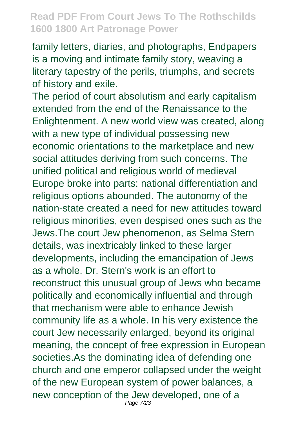family letters, diaries, and photographs, Endpapers is a moving and intimate family story, weaving a literary tapestry of the perils, triumphs, and secrets of history and exile.

The period of court absolutism and early capitalism extended from the end of the Renaissance to the Enlightenment. A new world view was created, along with a new type of individual possessing new economic orientations to the marketplace and new social attitudes deriving from such concerns. The unified political and religious world of medieval Europe broke into parts: national differentiation and religious options abounded. The autonomy of the nation-state created a need for new attitudes toward religious minorities, even despised ones such as the Jews.The court Jew phenomenon, as Selma Stern details, was inextricably linked to these larger developments, including the emancipation of Jews as a whole. Dr. Stern's work is an effort to reconstruct this unusual group of Jews who became politically and economically influential and through that mechanism were able to enhance Jewish community life as a whole. In his very existence the court Jew necessarily enlarged, beyond its original meaning, the concept of free expression in European societies.As the dominating idea of defending one church and one emperor collapsed under the weight of the new European system of power balances, a new conception of the Jew developed, one of a Page 7/23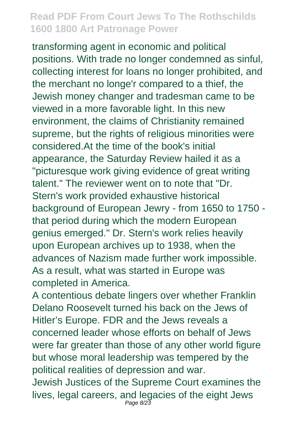transforming agent in economic and political positions. With trade no longer condemned as sinful, collecting interest for loans no longer prohibited, and the merchant no longe'r compared to a thief, the Jewish money changer and tradesman came to be viewed in a more favorable light. In this new environment, the claims of Christianity remained supreme, but the rights of religious minorities were considered.At the time of the book's initial appearance, the Saturday Review hailed it as a "picturesque work giving evidence of great writing talent." The reviewer went on to note that "Dr. Stern's work provided exhaustive historical background of European Jewry - from 1650 to 1750 that period during which the modern European genius emerged." Dr. Stern's work relies heavily upon European archives up to 1938, when the advances of Nazism made further work impossible. As a result, what was started in Europe was completed in America.

A contentious debate lingers over whether Franklin Delano Roosevelt turned his back on the Jews of Hitler's Europe. FDR and the Jews reveals a concerned leader whose efforts on behalf of Jews were far greater than those of any other world figure but whose moral leadership was tempered by the political realities of depression and war.

Jewish Justices of the Supreme Court examines the lives, legal careers, and legacies of the eight Jews Page 8/23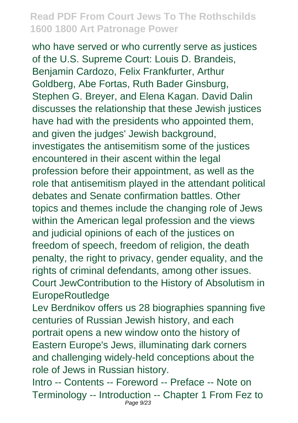who have served or who currently serve as justices of the U.S. Supreme Court: Louis D. Brandeis, Benjamin Cardozo, Felix Frankfurter, Arthur Goldberg, Abe Fortas, Ruth Bader Ginsburg, Stephen G. Breyer, and Elena Kagan. David Dalin discusses the relationship that these Jewish justices have had with the presidents who appointed them, and given the judges' Jewish background, investigates the antisemitism some of the justices encountered in their ascent within the legal profession before their appointment, as well as the role that antisemitism played in the attendant political debates and Senate confirmation battles. Other topics and themes include the changing role of Jews within the American legal profession and the views and judicial opinions of each of the justices on freedom of speech, freedom of religion, the death penalty, the right to privacy, gender equality, and the rights of criminal defendants, among other issues. Court JewContribution to the History of Absolutism in EuropeRoutledge

Lev Berdnikov offers us 28 biographies spanning five centuries of Russian Jewish history, and each portrait opens a new window onto the history of Eastern Europe's Jews, illuminating dark corners and challenging widely-held conceptions about the role of Jews in Russian history.

Intro -- Contents -- Foreword -- Preface -- Note on Terminology -- Introduction -- Chapter 1 From Fez to Page 9/23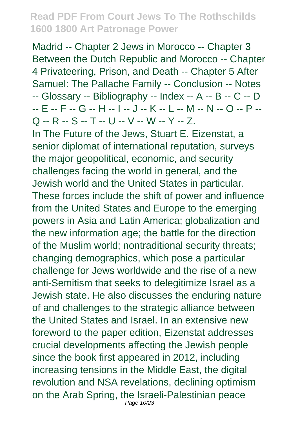Madrid -- Chapter 2 Jews in Morocco -- Chapter 3 Between the Dutch Republic and Morocco -- Chapter 4 Privateering, Prison, and Death -- Chapter 5 After Samuel: The Pallache Family -- Conclusion -- Notes -- Glossary -- Bibliography -- Index -- A -- B -- C -- D -- E -- F -- G -- H -- I -- J -- K -- L -- M -- N -- O -- P -- Q -- R -- S -- T -- U -- V -- W -- Y -- Z.

In The Future of the Jews, Stuart E. Eizenstat, a senior diplomat of international reputation, surveys the major geopolitical, economic, and security challenges facing the world in general, and the Jewish world and the United States in particular. These forces include the shift of power and influence from the United States and Europe to the emerging powers in Asia and Latin America; globalization and the new information age; the battle for the direction of the Muslim world; nontraditional security threats; changing demographics, which pose a particular challenge for Jews worldwide and the rise of a new anti-Semitism that seeks to delegitimize Israel as a Jewish state. He also discusses the enduring nature of and challenges to the strategic alliance between the United States and Israel. In an extensive new foreword to the paper edition, Eizenstat addresses crucial developments affecting the Jewish people since the book first appeared in 2012, including increasing tensions in the Middle East, the digital revolution and NSA revelations, declining optimism on the Arab Spring, the Israeli-Palestinian peace Page 10/23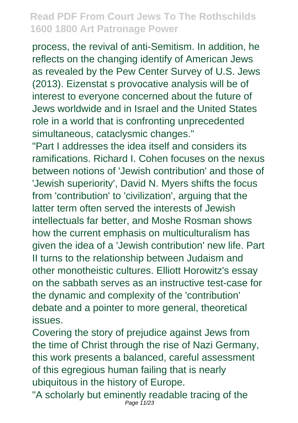process, the revival of anti-Semitism. In addition, he reflects on the changing identify of American Jews as revealed by the Pew Center Survey of U.S. Jews (2013). Eizenstat s provocative analysis will be of interest to everyone concerned about the future of Jews worldwide and in Israel and the United States role in a world that is confronting unprecedented simultaneous, cataclysmic changes."

"Part I addresses the idea itself and considers its ramifications. Richard I. Cohen focuses on the nexus between notions of 'Jewish contribution' and those of 'Jewish superiority', David N. Myers shifts the focus from 'contribution' to 'civilization', arguing that the latter term often served the interests of Jewish intellectuals far better, and Moshe Rosman shows how the current emphasis on multiculturalism has given the idea of a 'Jewish contribution' new life. Part II turns to the relationship between Judaism and other monotheistic cultures. Elliott Horowitz's essay on the sabbath serves as an instructive test-case for the dynamic and complexity of the 'contribution' debate and a pointer to more general, theoretical issues.

Covering the story of prejudice against Jews from the time of Christ through the rise of Nazi Germany, this work presents a balanced, careful assessment of this egregious human failing that is nearly ubiquitous in the history of Europe.

"A scholarly but eminently readable tracing of the Page 11/23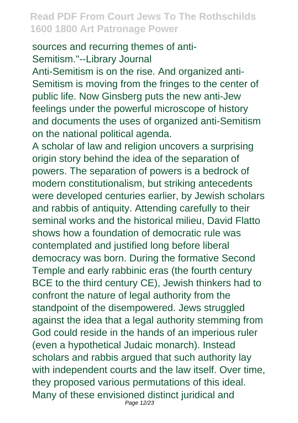#### sources and recurring themes of anti-Semitism."--Library Journal

Anti-Semitism is on the rise. And organized anti-Semitism is moving from the fringes to the center of public life. Now Ginsberg puts the new anti-Jew feelings under the powerful microscope of history and documents the uses of organized anti-Semitism on the national political agenda.

A scholar of law and religion uncovers a surprising origin story behind the idea of the separation of powers. The separation of powers is a bedrock of modern constitutionalism, but striking antecedents were developed centuries earlier, by Jewish scholars and rabbis of antiquity. Attending carefully to their seminal works and the historical milieu, David Flatto shows how a foundation of democratic rule was contemplated and justified long before liberal democracy was born. During the formative Second Temple and early rabbinic eras (the fourth century BCE to the third century CE), Jewish thinkers had to confront the nature of legal authority from the standpoint of the disempowered. Jews struggled against the idea that a legal authority stemming from God could reside in the hands of an imperious ruler (even a hypothetical Judaic monarch). Instead scholars and rabbis arqued that such authority lay with independent courts and the law itself. Over time, they proposed various permutations of this ideal. Many of these envisioned distinct juridical and Page 12/23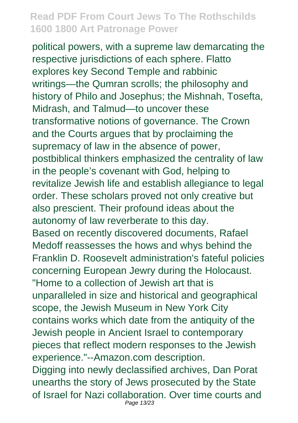political powers, with a supreme law demarcating the respective jurisdictions of each sphere. Flatto explores key Second Temple and rabbinic writings—the Qumran scrolls; the philosophy and history of Philo and Josephus; the Mishnah, Tosefta, Midrash, and Talmud—to uncover these transformative notions of governance. The Crown and the Courts argues that by proclaiming the supremacy of law in the absence of power, postbiblical thinkers emphasized the centrality of law in the people's covenant with God, helping to revitalize Jewish life and establish allegiance to legal order. These scholars proved not only creative but also prescient. Their profound ideas about the autonomy of law reverberate to this day. Based on recently discovered documents, Rafael Medoff reassesses the hows and whys behind the Franklin D. Roosevelt administration's fateful policies concerning European Jewry during the Holocaust. "Home to a collection of Jewish art that is unparalleled in size and historical and geographical scope, the Jewish Museum in New York City contains works which date from the antiquity of the Jewish people in Ancient Israel to contemporary pieces that reflect modern responses to the Jewish experience."--Amazon.com description. Digging into newly declassified archives, Dan Porat unearths the story of Jews prosecuted by the State of Israel for Nazi collaboration. Over time courts and Page 13/23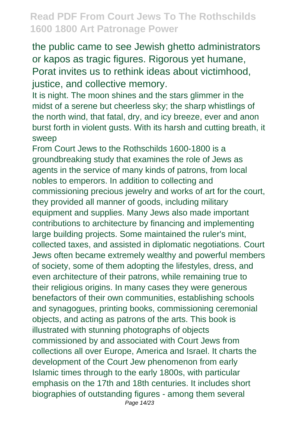the public came to see Jewish ghetto administrators or kapos as tragic figures. Rigorous yet humane, Porat invites us to rethink ideas about victimhood, justice, and collective memory.

It is night. The moon shines and the stars glimmer in the midst of a serene but cheerless sky; the sharp whistlings of the north wind, that fatal, dry, and icy breeze, ever and anon burst forth in violent gusts. With its harsh and cutting breath, it sweep

From Court Jews to the Rothschilds 1600-1800 is a groundbreaking study that examines the role of Jews as agents in the service of many kinds of patrons, from local nobles to emperors. In addition to collecting and commissioning precious jewelry and works of art for the court, they provided all manner of goods, including military equipment and supplies. Many Jews also made important contributions to architecture by financing and implementing large building projects. Some maintained the ruler's mint, collected taxes, and assisted in diplomatic negotiations. Court Jews often became extremely wealthy and powerful members of society, some of them adopting the lifestyles, dress, and even architecture of their patrons, while remaining true to their religious origins. In many cases they were generous benefactors of their own communities, establishing schools and synagogues, printing books, commissioning ceremonial objects, and acting as patrons of the arts. This book is illustrated with stunning photographs of objects commissioned by and associated with Court Jews from collections all over Europe, America and Israel. It charts the development of the Court Jew phenomenon from early Islamic times through to the early 1800s, with particular emphasis on the 17th and 18th centuries. It includes short biographies of outstanding figures - among them several Page 14/23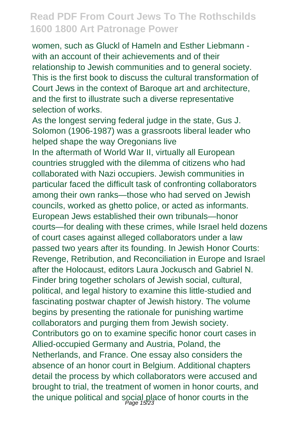women, such as Gluckl of Hameln and Esther Liebmann with an account of their achievements and of their relationship to Jewish communities and to general society. This is the first book to discuss the cultural transformation of Court Jews in the context of Baroque art and architecture, and the first to illustrate such a diverse representative selection of works.

As the longest serving federal judge in the state, Gus J. Solomon (1906-1987) was a grassroots liberal leader who helped shape the way Oregonians live

In the aftermath of World War II, virtually all European countries struggled with the dilemma of citizens who had collaborated with Nazi occupiers. Jewish communities in particular faced the difficult task of confronting collaborators among their own ranks—those who had served on Jewish councils, worked as ghetto police, or acted as informants. European Jews established their own tribunals—honor courts—for dealing with these crimes, while Israel held dozens of court cases against alleged collaborators under a law passed two years after its founding. In Jewish Honor Courts: Revenge, Retribution, and Reconciliation in Europe and Israel after the Holocaust, editors Laura Jockusch and Gabriel N. Finder bring together scholars of Jewish social, cultural, political, and legal history to examine this little-studied and fascinating postwar chapter of Jewish history. The volume begins by presenting the rationale for punishing wartime collaborators and purging them from Jewish society. Contributors go on to examine specific honor court cases in Allied-occupied Germany and Austria, Poland, the Netherlands, and France. One essay also considers the absence of an honor court in Belgium. Additional chapters detail the process by which collaborators were accused and brought to trial, the treatment of women in honor courts, and the unique political and social place of honor courts in the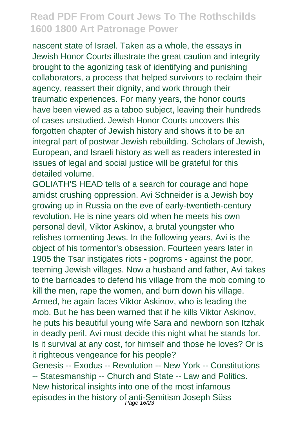nascent state of Israel. Taken as a whole, the essays in Jewish Honor Courts illustrate the great caution and integrity brought to the agonizing task of identifying and punishing collaborators, a process that helped survivors to reclaim their agency, reassert their dignity, and work through their traumatic experiences. For many years, the honor courts have been viewed as a taboo subject, leaving their hundreds of cases unstudied. Jewish Honor Courts uncovers this forgotten chapter of Jewish history and shows it to be an integral part of postwar Jewish rebuilding. Scholars of Jewish, European, and Israeli history as well as readers interested in issues of legal and social justice will be grateful for this detailed volume.

GOLIATH'S HEAD tells of a search for courage and hope amidst crushing oppression. Avi Schneider is a Jewish boy growing up in Russia on the eve of early-twentieth-century revolution. He is nine years old when he meets his own personal devil, Viktor Askinov, a brutal youngster who relishes tormenting Jews. In the following years, Avi is the object of his tormentor's obsession. Fourteen years later in 1905 the Tsar instigates riots - pogroms - against the poor, teeming Jewish villages. Now a husband and father, Avi takes to the barricades to defend his village from the mob coming to kill the men, rape the women, and burn down his village. Armed, he again faces Viktor Askinov, who is leading the mob. But he has been warned that if he kills Viktor Askinov, he puts his beautiful young wife Sara and newborn son Itzhak in deadly peril. Avi must decide this night what he stands for. Is it survival at any cost, for himself and those he loves? Or is it righteous vengeance for his people? Genesis -- Exodus -- Revolution -- New York -- Constitutions -- Statesmanship -- Church and State -- Law and Politics. New historical insights into one of the most infamous episodes in the history of anti-Semitism Joseph Süss<br>Page 16/23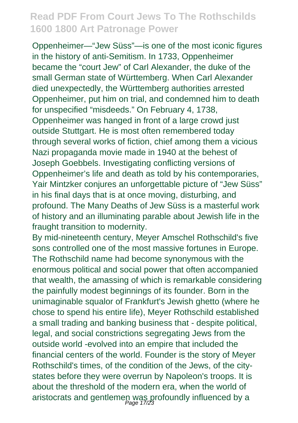Oppenheimer—"Jew Süss"—is one of the most iconic figures in the history of anti-Semitism. In 1733, Oppenheimer became the "court Jew" of Carl Alexander, the duke of the small German state of Württemberg. When Carl Alexander died unexpectedly, the Württemberg authorities arrested Oppenheimer, put him on trial, and condemned him to death for unspecified "misdeeds." On February 4, 1738, Oppenheimer was hanged in front of a large crowd just outside Stuttgart. He is most often remembered today through several works of fiction, chief among them a vicious Nazi propaganda movie made in 1940 at the behest of Joseph Goebbels. Investigating conflicting versions of Oppenheimer's life and death as told by his contemporaries, Yair Mintzker conjures an unforgettable picture of "Jew Süss" in his final days that is at once moving, disturbing, and profound. The Many Deaths of Jew Süss is a masterful work of history and an illuminating parable about Jewish life in the fraught transition to modernity.

By mid-nineteenth century, Meyer Amschel Rothschild's five sons controlled one of the most massive fortunes in Europe. The Rothschild name had become synonymous with the enormous political and social power that often accompanied that wealth, the amassing of which is remarkable considering the painfully modest beginnings of its founder. Born in the unimaginable squalor of Frankfurt's Jewish ghetto (where he chose to spend his entire life), Meyer Rothschild established a small trading and banking business that - despite political, legal, and social constrictions segregating Jews from the outside world -evolved into an empire that included the financial centers of the world. Founder is the story of Meyer Rothschild's times, of the condition of the Jews, of the citystates before they were overrun by Napoleon's troops. It is about the threshold of the modern era, when the world of aristocrats and gentlemen was profoundly influenced by a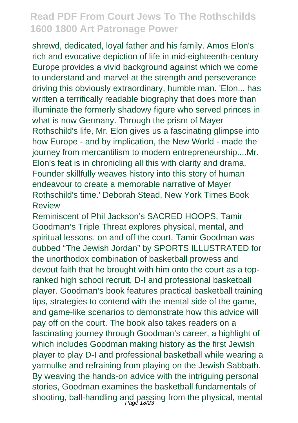shrewd, dedicated, loyal father and his family. Amos Elon's rich and evocative depiction of life in mid-eighteenth-century Europe provides a vivid background against which we come to understand and marvel at the strength and perseverance driving this obviously extraordinary, humble man. 'Elon... has written a terrifically readable biography that does more than illuminate the formerly shadowy figure who served princes in what is now Germany. Through the prism of Mayer Rothschild's life, Mr. Elon gives us a fascinating glimpse into how Europe - and by implication, the New World - made the journey from mercantilism to modern entrepreneurship....Mr. Elon's feat is in chronicling all this with clarity and drama. Founder skillfully weaves history into this story of human endeavour to create a memorable narrative of Mayer Rothschild's time.' Deborah Stead, New York Times Book Review

Reminiscent of Phil Jackson's SACRED HOOPS, Tamir Goodman's Triple Threat explores physical, mental, and spiritual lessons, on and off the court. Tamir Goodman was dubbed "The Jewish Jordan" by SPORTS ILLUSTRATED for the unorthodox combination of basketball prowess and devout faith that he brought with him onto the court as a topranked high school recruit, D-I and professional basketball player. Goodman's book features practical basketball training tips, strategies to contend with the mental side of the game, and game-like scenarios to demonstrate how this advice will pay off on the court. The book also takes readers on a fascinating journey through Goodman's career, a highlight of which includes Goodman making history as the first Jewish player to play D-I and professional basketball while wearing a yarmulke and refraining from playing on the Jewish Sabbath. By weaving the hands-on advice with the intriguing personal stories, Goodman examines the basketball fundamentals of shooting, ball-handling and passing from the physical, mental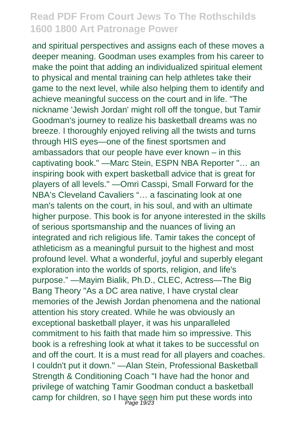and spiritual perspectives and assigns each of these moves a deeper meaning. Goodman uses examples from his career to make the point that adding an individualized spiritual element to physical and mental training can help athletes take their game to the next level, while also helping them to identify and achieve meaningful success on the court and in life. "The nickname 'Jewish Jordan' might roll off the tongue, but Tamir Goodman's journey to realize his basketball dreams was no breeze. I thoroughly enjoyed reliving all the twists and turns through HIS eyes—one of the finest sportsmen and ambassadors that our people have ever known – in this captivating book." —Marc Stein, ESPN NBA Reporter "… an inspiring book with expert basketball advice that is great for players of all levels." —Omri Casspi, Small Forward for the NBA's Cleveland Cavaliers "… a fascinating look at one man's talents on the court, in his soul, and with an ultimate higher purpose. This book is for anyone interested in the skills of serious sportsmanship and the nuances of living an integrated and rich religious life. Tamir takes the concept of athleticism as a meaningful pursuit to the highest and most profound level. What a wonderful, joyful and superbly elegant exploration into the worlds of sports, religion, and life's purpose." —Mayim Bialik, Ph.D., CLEC, Actress—The Big Bang Theory "As a DC area native, I have crystal clear memories of the Jewish Jordan phenomena and the national attention his story created. While he was obviously an exceptional basketball player, it was his unparalleled commitment to his faith that made him so impressive. This book is a refreshing look at what it takes to be successful on and off the court. It is a must read for all players and coaches. I couldn't put it down." —Alan Stein, Professional Basketball Strength & Conditioning Coach "I have had the honor and privilege of watching Tamir Goodman conduct a basketball camp for children, so I have seen him put these words into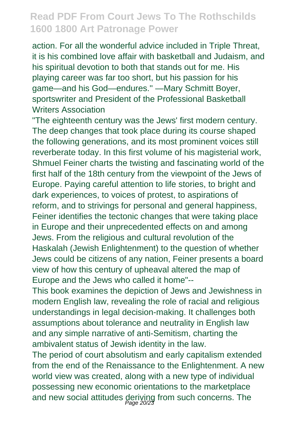action. For all the wonderful advice included in Triple Threat, it is his combined love affair with basketball and Judaism, and his spiritual devotion to both that stands out for me. His playing career was far too short, but his passion for his game—and his God—endures.'' —Mary Schmitt Boyer, sportswriter and President of the Professional Basketball Writers Association

"The eighteenth century was the Jews' first modern century. The deep changes that took place during its course shaped the following generations, and its most prominent voices still reverberate today. In this first volume of his magisterial work, Shmuel Feiner charts the twisting and fascinating world of the first half of the 18th century from the viewpoint of the Jews of Europe. Paying careful attention to life stories, to bright and dark experiences, to voices of protest, to aspirations of reform, and to strivings for personal and general happiness, Feiner identifies the tectonic changes that were taking place in Europe and their unprecedented effects on and among Jews. From the religious and cultural revolution of the Haskalah (Jewish Enlightenment) to the question of whether Jews could be citizens of any nation, Feiner presents a board view of how this century of upheaval altered the map of Europe and the Jews who called it home"--

This book examines the depiction of Jews and Jewishness in modern English law, revealing the role of racial and religious understandings in legal decision-making. It challenges both assumptions about tolerance and neutrality in English law and any simple narrative of anti-Semitism, charting the ambivalent status of Jewish identity in the law.

The period of court absolutism and early capitalism extended from the end of the Renaissance to the Enlightenment. A new world view was created, along with a new type of individual possessing new economic orientations to the marketplace and new social attitudes deriving from such concerns. The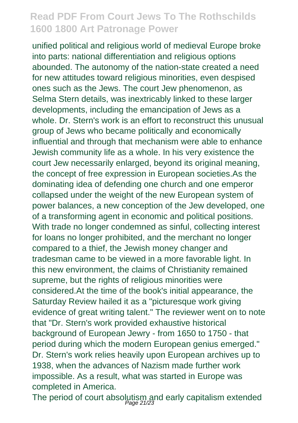unified political and religious world of medieval Europe broke into parts: national differentiation and religious options abounded. The autonomy of the nation-state created a need for new attitudes toward religious minorities, even despised ones such as the Jews. The court Jew phenomenon, as Selma Stern details, was inextricably linked to these larger developments, including the emancipation of Jews as a whole. Dr. Stern's work is an effort to reconstruct this unusual group of Jews who became politically and economically influential and through that mechanism were able to enhance Jewish community life as a whole. In his very existence the court Jew necessarily enlarged, beyond its original meaning, the concept of free expression in European societies.As the dominating idea of defending one church and one emperor collapsed under the weight of the new European system of power balances, a new conception of the Jew developed, one of a transforming agent in economic and political positions. With trade no longer condemned as sinful, collecting interest for loans no longer prohibited, and the merchant no longer compared to a thief, the Jewish money changer and tradesman came to be viewed in a more favorable light. In this new environment, the claims of Christianity remained supreme, but the rights of religious minorities were considered.At the time of the book's initial appearance, the Saturday Review hailed it as a "picturesque work giving evidence of great writing talent." The reviewer went on to note that "Dr. Stern's work provided exhaustive historical background of European Jewry - from 1650 to 1750 - that period during which the modern European genius emerged." Dr. Stern's work relies heavily upon European archives up to 1938, when the advances of Nazism made further work impossible. As a result, what was started in Europe was completed in America.

The period of court absolutism and early capitalism extended<br>Page 21/23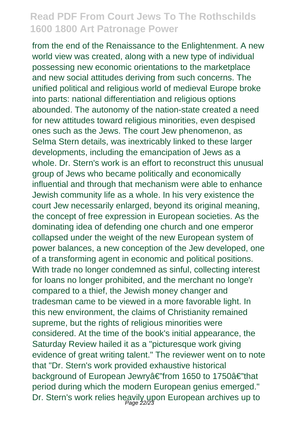from the end of the Renaissance to the Enlightenment. A new world view was created, along with a new type of individual possessing new economic orientations to the marketplace and new social attitudes deriving from such concerns. The unified political and religious world of medieval Europe broke into parts: national differentiation and religious options abounded. The autonomy of the nation-state created a need for new attitudes toward religious minorities, even despised ones such as the Jews. The court Jew phenomenon, as Selma Stern details, was inextricably linked to these larger developments, including the emancipation of Jews as a whole. Dr. Stern's work is an effort to reconstruct this unusual group of Jews who became politically and economically influential and through that mechanism were able to enhance Jewish community life as a whole. In his very existence the court Jew necessarily enlarged, beyond its original meaning, the concept of free expression in European societies. As the dominating idea of defending one church and one emperor collapsed under the weight of the new European system of power balances, a new conception of the Jew developed, one of a transforming agent in economic and political positions. With trade no longer condemned as sinful, collecting interest for loans no longer prohibited, and the merchant no longe'r compared to a thief, the Jewish money changer and tradesman came to be viewed in a more favorable light. In this new environment, the claims of Christianity remained supreme, but the rights of religious minorities were considered. At the time of the book's initial appearance, the Saturday Review hailed it as a "picturesque work giving evidence of great writing talent." The reviewer went on to note that "Dr. Stern's work provided exhaustive historical background of European Jewryâ€"from 1650 to 1750â€"that period during which the modern European genius emerged." Dr. Stern's work relies heavily upon European archives up to